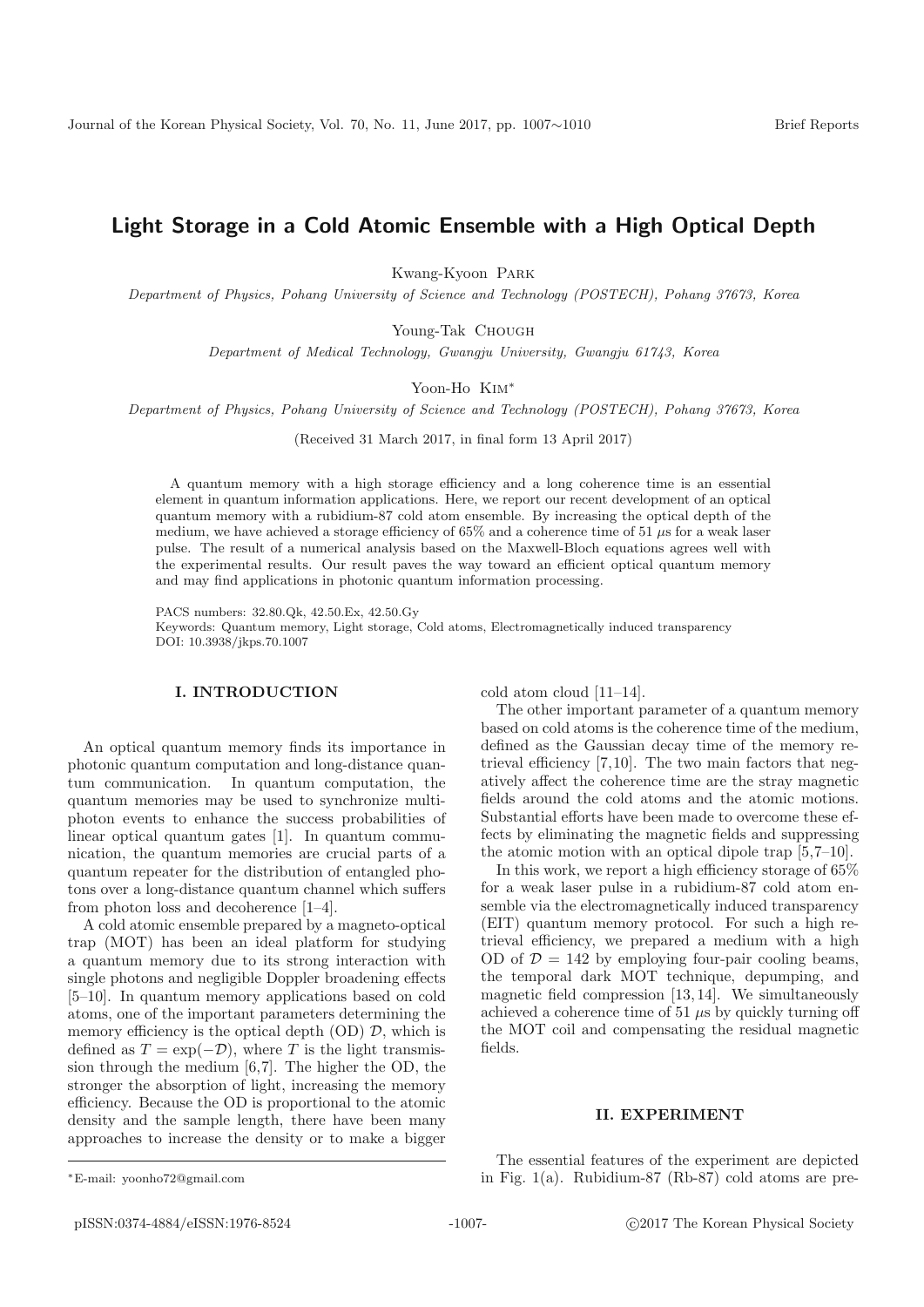# **Light Storage in a Cold Atomic Ensemble with a High Optical Depth**

Kwang-Kyoon Park

Department of Physics, Pohang University of Science and Technology (POSTECH), Pohang 37673, Korea

Young-Tak CHOUGH

Department of Medical Technology, Gwangju University, Gwangju 61743, Korea

Yoon-Ho Kim<sup>∗</sup>

Department of Physics, Pohang University of Science and Technology (POSTECH), Pohang 37673, Korea

(Received 31 March 2017, in final form 13 April 2017)

A quantum memory with a high storage efficiency and a long coherence time is an essential element in quantum information applications. Here, we report our recent development of an optical quantum memory with a rubidium-87 cold atom ensemble. By increasing the optical depth of the medium, we have achieved a storage efficiency of  $65\%$  and a coherence time of 51  $\mu$ s for a weak laser pulse. The result of a numerical analysis based on the Maxwell-Bloch equations agrees well with the experimental results. Our result paves the way toward an efficient optical quantum memory and may find applications in photonic quantum information processing.

PACS numbers: 32.80.Qk, 42.50.Ex, 42.50.Gy Keywords: Quantum memory, Light storage, Cold atoms, Electromagnetically induced transparency DOI: 10.3938/jkps.70.1007

### **I. INTRODUCTION**

An optical quantum memory finds its importance in photonic quantum computation and long-distance quantum communication. In quantum computation, the quantum memories may be used to synchronize multiphoton events to enhance the success probabilities of linear optical quantum gates [1]. In quantum communication, the quantum memories are crucial parts of a quantum repeater for the distribution of entangled photons over a long-distance quantum channel which suffers from photon loss and decoherence [1–4].

A cold atomic ensemble prepared by a magneto-optical trap (MOT) has been an ideal platform for studying a quantum memory due to its strong interaction with single photons and negligible Doppler broadening effects [5–10]. In quantum memory applications based on cold atoms, one of the important parameters determining the memory efficiency is the optical depth  $(OD)$   $D$ , which is defined as  $T = \exp(-\mathcal{D})$ , where T is the light transmission through the medium [6,7]. The higher the OD, the stronger the absorption of light, increasing the memory efficiency. Because the OD is proportional to the atomic density and the sample length, there have been many approaches to increase the density or to make a bigger cold atom cloud [11–14].

The other important parameter of a quantum memory based on cold atoms is the coherence time of the medium, defined as the Gaussian decay time of the memory retrieval efficiency [7,10]. The two main factors that negatively affect the coherence time are the stray magnetic fields around the cold atoms and the atomic motions. Substantial efforts have been made to overcome these effects by eliminating the magnetic fields and suppressing the atomic motion with an optical dipole trap [5,7–10].

In this work, we report a high efficiency storage of 65% for a weak laser pulse in a rubidium-87 cold atom ensemble via the electromagnetically induced transparency (EIT) quantum memory protocol. For such a high retrieval efficiency, we prepared a medium with a high OD of  $\mathcal{D} = 142$  by employing four-pair cooling beams, the temporal dark MOT technique, depumping, and magnetic field compression [13, 14]. We simultaneously achieved a coherence time of 51  $\mu$ s by quickly turning off the MOT coil and compensating the residual magnetic fields.

### **II. EXPERIMENT**

The essential features of the experiment are depicted in Fig. 1(a). Rubidium-87 (Rb-87) cold atoms are pre-

<sup>∗</sup>E-mail: yoonho72@gmail.com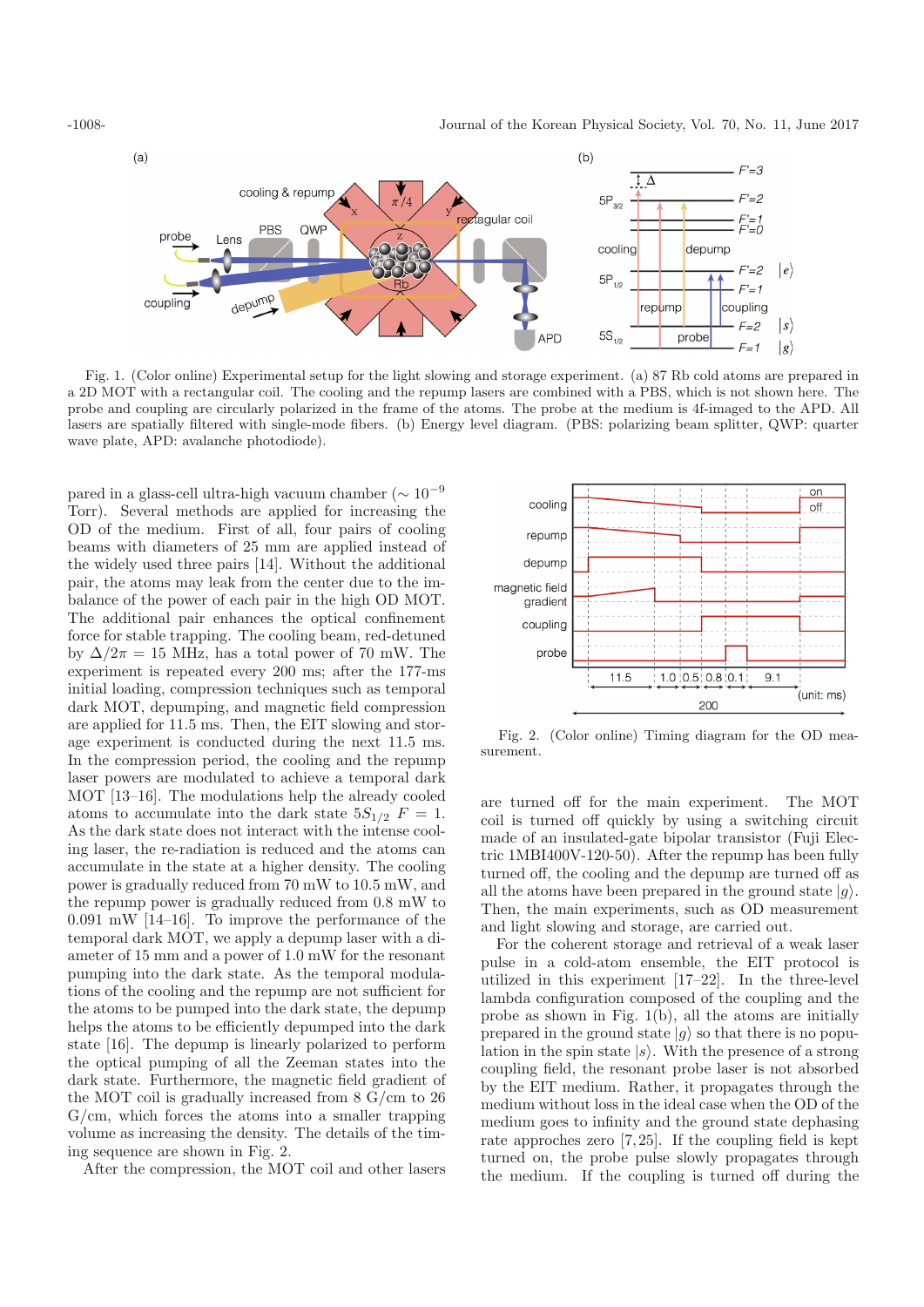

Fig. 1. (Color online) Experimental setup for the light slowing and storage experiment. (a) 87 Rb cold atoms are prepared in a 2D MOT with a rectangular coil. The cooling and the repump lasers are combined with a PBS, which is not shown here. The probe and coupling are circularly polarized in the frame of the atoms. The probe at the medium is 4f-imaged to the APD. All lasers are spatially filtered with single-mode fibers. (b) Energy level diagram. (PBS: polarizing beam splitter, QWP: quarter wave plate, APD: avalanche photodiode).

pared in a glass-cell ultra-high vacuum chamber ( $\sim 10^{-9}$ Torr). Several methods are applied for increasing the OD of the medium. First of all, four pairs of cooling beams with diameters of 25 mm are applied instead of the widely used three pairs [14]. Without the additional pair, the atoms may leak from the center due to the imbalance of the power of each pair in the high OD MOT. The additional pair enhances the optical confinement force for stable trapping. The cooling beam, red-detuned by  $\Delta/2\pi = 15$  MHz, has a total power of 70 mW. The experiment is repeated every 200 ms; after the 177-ms initial loading, compression techniques such as temporal dark MOT, depumping, and magnetic field compression are applied for 11.5 ms. Then, the EIT slowing and storage experiment is conducted during the next 11.5 ms. In the compression period, the cooling and the repump laser powers are modulated to achieve a temporal dark MOT [13–16]. The modulations help the already cooled atoms to accumulate into the dark state  $5S_{1/2}$   $F = 1$ . As the dark state does not interact with the intense cooling laser, the re-radiation is reduced and the atoms can accumulate in the state at a higher density. The cooling power is gradually reduced from 70 mW to 10.5 mW, and the repump power is gradually reduced from 0.8 mW to 0.091 mW [14–16]. To improve the performance of the temporal dark MOT, we apply a depump laser with a diameter of 15 mm and a power of 1.0 mW for the resonant pumping into the dark state. As the temporal modulations of the cooling and the repump are not sufficient for the atoms to be pumped into the dark state, the depump helps the atoms to be efficiently depumped into the dark state [16]. The depump is linearly polarized to perform the optical pumping of all the Zeeman states into the dark state. Furthermore, the magnetic field gradient of the MOT coil is gradually increased from 8 G/cm to 26  $G/cm$ , which forces the atoms into a smaller trapping volume as increasing the density. The details of the timing sequence are shown in Fig. 2.

After the compression, the MOT coil and other lasers



Fig. 2. (Color online) Timing diagram for the OD measurement.

are turned off for the main experiment. The MOT coil is turned off quickly by using a switching circuit made of an insulated-gate bipolar transistor (Fuji Electric 1MBI400V-120-50). After the repump has been fully turned off, the cooling and the depump are turned off as all the atoms have been prepared in the ground state  $|g\rangle$ . Then, the main experiments, such as OD measurement and light slowing and storage, are carried out.

For the coherent storage and retrieval of a weak laser pulse in a cold-atom ensemble, the EIT protocol is utilized in this experiment [17–22]. In the three-level lambda configuration composed of the coupling and the probe as shown in Fig. 1(b), all the atoms are initially prepared in the ground state  $|g\rangle$  so that there is no population in the spin state  $|s\rangle$ . With the presence of a strong coupling field, the resonant probe laser is not absorbed by the EIT medium. Rather, it propagates through the medium without loss in the ideal case when the OD of the medium goes to infinity and the ground state dephasing rate approches zero [7, 25]. If the coupling field is kept turned on, the probe pulse slowly propagates through the medium. If the coupling is turned off during the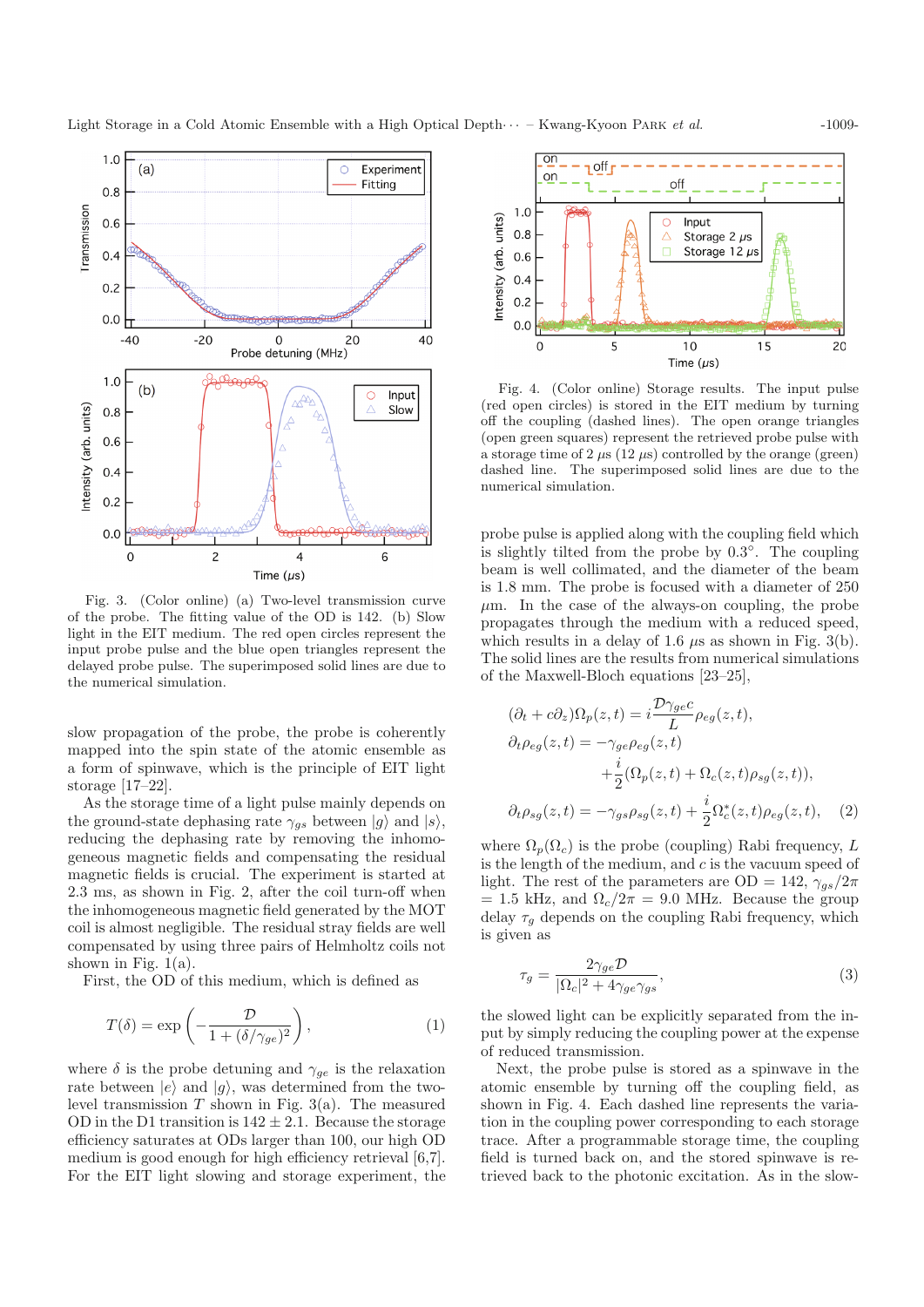

Fig. 3. (Color online) (a) Two-level transmission curve of the probe. The fitting value of the OD is 142. (b) Slow light in the EIT medium. The red open circles represent the input probe pulse and the blue open triangles represent the delayed probe pulse. The superimposed solid lines are due to the numerical simulation.

slow propagation of the probe, the probe is coherently mapped into the spin state of the atomic ensemble as a form of spinwave, which is the principle of EIT light storage [17–22].

As the storage time of a light pulse mainly depends on the ground-state dephasing rate  $\gamma_{gs}$  between  $|g\rangle$  and  $|s\rangle$ , reducing the dephasing rate by removing the inhomogeneous magnetic fields and compensating the residual magnetic fields is crucial. The experiment is started at 2.3 ms, as shown in Fig. 2, after the coil turn-off when the inhomogeneous magnetic field generated by the MOT coil is almost negligible. The residual stray fields are well compensated by using three pairs of Helmholtz coils not shown in Fig.  $1(a)$ .

First, the OD of this medium, which is defined as

$$
T(\delta) = \exp\left(-\frac{\mathcal{D}}{1 + (\delta/\gamma_{ge})^2}\right),\tag{1}
$$

where  $\delta$  is the probe detuning and  $\gamma_{ge}$  is the relaxation rate between  $|e\rangle$  and  $|g\rangle$ , was determined from the twolevel transmission  $T$  shown in Fig. 3(a). The measured OD in the D1 transition is  $142 \pm 2.1$ . Because the storage efficiency saturates at ODs larger than 100, our high OD medium is good enough for high efficiency retrieval [6,7]. For the EIT light slowing and storage experiment, the



Fig. 4. (Color online) Storage results. The input pulse (red open circles) is stored in the EIT medium by turning off the coupling (dashed lines). The open orange triangles (open green squares) represent the retrieved probe pulse with a storage time of 2  $\mu$ s (12  $\mu$ s) controlled by the orange (green) dashed line. The superimposed solid lines are due to the numerical simulation.

probe pulse is applied along with the coupling field which is slightly tilted from the probe by 0.3◦. The coupling beam is well collimated, and the diameter of the beam is 1.8 mm. The probe is focused with a diameter of 250  $\mu$ m. In the case of the always-on coupling, the probe propagates through the medium with a reduced speed, which results in a delay of 1.6  $\mu$ s as shown in Fig. 3(b). The solid lines are the results from numerical simulations of the Maxwell-Bloch equations [23–25],

$$
(\partial_t + c\partial_z)\Omega_p(z, t) = i \frac{\mathcal{D}\gamma_{ge}c}{L} \rho_{eg}(z, t),
$$
  
\n
$$
\partial_t \rho_{eg}(z, t) = -\gamma_{ge} \rho_{eg}(z, t)
$$
  
\n
$$
+ \frac{i}{2} (\Omega_p(z, t) + \Omega_c(z, t)\rho_{sg}(z, t)),
$$
  
\n
$$
\partial_t \rho_{sg}(z, t) = -\gamma_{gs} \rho_{sg}(z, t) + \frac{i}{2} \Omega_c^*(z, t)\rho_{eg}(z, t),
$$
 (2)

where  $\Omega_p(\Omega_c)$  is the probe (coupling) Rabi frequency, L is the length of the medium, and  $c$  is the vacuum speed of light. The rest of the parameters are OD = 142,  $\gamma_{gs}/2\pi$  $= 1.5$  kHz, and  $\Omega_c/2\pi = 9.0$  MHz. Because the group delay  $\tau_q$  depends on the coupling Rabi frequency, which is given as

$$
\tau_g = \frac{2\gamma_{ge}\mathcal{D}}{|\Omega_c|^2 + 4\gamma_{ge}\gamma_{gs}},\tag{3}
$$

the slowed light can be explicitly separated from the input by simply reducing the coupling power at the expense of reduced transmission.

Next, the probe pulse is stored as a spinwave in the atomic ensemble by turning off the coupling field, as shown in Fig. 4. Each dashed line represents the variation in the coupling power corresponding to each storage trace. After a programmable storage time, the coupling field is turned back on, and the stored spinwave is retrieved back to the photonic excitation. As in the slow-